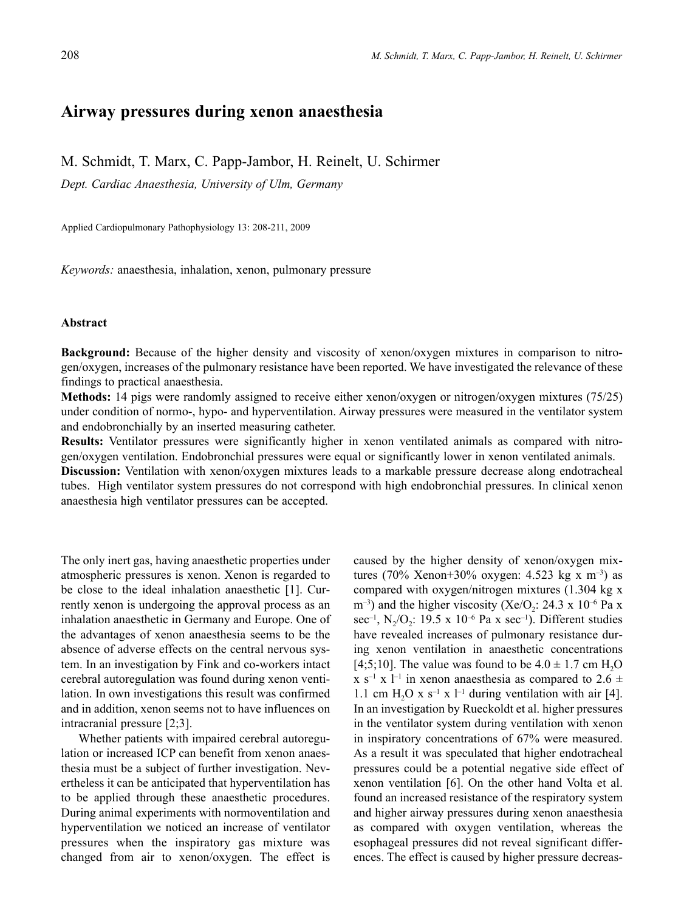# **Airway pressures during xenon anaesthesia**

M. Schmidt, T. Marx, C. Papp-Jambor, H. Reinelt, U. Schirmer

*Dept. Cardiac Anaesthesia, University of Ulm, Germany* 

Applied Cardiopulmonary Pathophysiology 13: 208-211, 2009

*Keywords:* anaesthesia, inhalation, xenon, pulmonary pressure

## **Abstract**

**Background:** Because of the higher density and viscosity of xenon/oxygen mixtures in comparison to nitrogen/oxygen, increases of the pulmonary resistance have been reported. We have investigated the relevance of these findings to practical anaesthesia.

**Methods:** 14 pigs were randomly assigned to receive either xenon/oxygen or nitrogen/oxygen mixtures (75/25) under condition of normo-, hypo- and hyperventilation. Airway pressures were measured in the ventilator system and endobronchially by an inserted measuring catheter.

**Results:** Ventilator pressures were significantly higher in xenon ventilated animals as compared with nitrogen/oxygen ventilation. Endobronchial pressures were equal or significantly lower in xenon ventilated animals.

**Discussion:** Ventilation with xenon/oxygen mixtures leads to a markable pressure decrease along endotracheal tubes. High ventilator system pressures do not correspond with high endobronchial pressures. In clinical xenon anaesthesia high ventilator pressures can be accepted.

The only inert gas, having anaesthetic properties under atmospheric pressures is xenon. Xenon is regarded to be close to the ideal inhalation anaesthetic [1]. Currently xenon is undergoing the approval process as an inhalation anaesthetic in Germany and Europe. One of the advantages of xenon anaesthesia seems to be the absence of adverse effects on the central nervous system. In an investigation by Fink and co-workers intact cerebral autoregulation was found during xenon ventilation. In own investigations this result was confirmed and in addition, xenon seems not to have influences on intracranial pressure [2;3].

Whether patients with impaired cerebral autoregulation or increased ICP can benefit from xenon anaesthesia must be a subject of further investigation. Nevertheless it can be anticipated that hyperventilation has to be applied through these anaesthetic procedures. During animal experiments with normoventilation and hyperventilation we noticed an increase of ventilator pressures when the inspiratory gas mixture was changed from air to xenon/oxygen. The effect is

caused by the higher density of xenon/oxygen mixtures (70% Xenon+30% oxygen: 4.523 kg x m<sup>-3</sup>) as compared with oxygen/nitrogen mixtures (1.304 kg x  $(m^{-3})$  and the higher viscosity (Xe/O<sub>2</sub>: 24.3 x 10<sup>-6</sup> Pa x sec<sup>-1</sup>, N<sub>2</sub>/O<sub>2</sub>: 19.5 x 10<sup>-6</sup> Pa x sec<sup>-1</sup>). Different studies have revealed increases of pulmonary resistance during xenon ventilation in anaesthetic concentrations [4;5;10]. The value was found to be  $4.0 \pm 1.7$  cm H<sub>2</sub>O x s<sup>-1</sup> x l<sup>-1</sup> in xenon anaesthesia as compared to 2.6  $\pm$ 1.1 cm H<sub>2</sub>O x s<sup>-1</sup> x l<sup>-1</sup> during ventilation with air [4]. In an investigation by Rueckoldt et al. higher pressures in the ventilator system during ventilation with xenon in inspiratory concentrations of 67% were measured. As a result it was speculated that higher endotracheal pressures could be a potential negative side effect of xenon ventilation [6]. On the other hand Volta et al. found an increased resistance of the respiratory system and higher airway pressures during xenon anaesthesia as compared with oxygen ventilation, whereas the esophageal pressures did not reveal significant differences. The effect is caused by higher pressure decreas-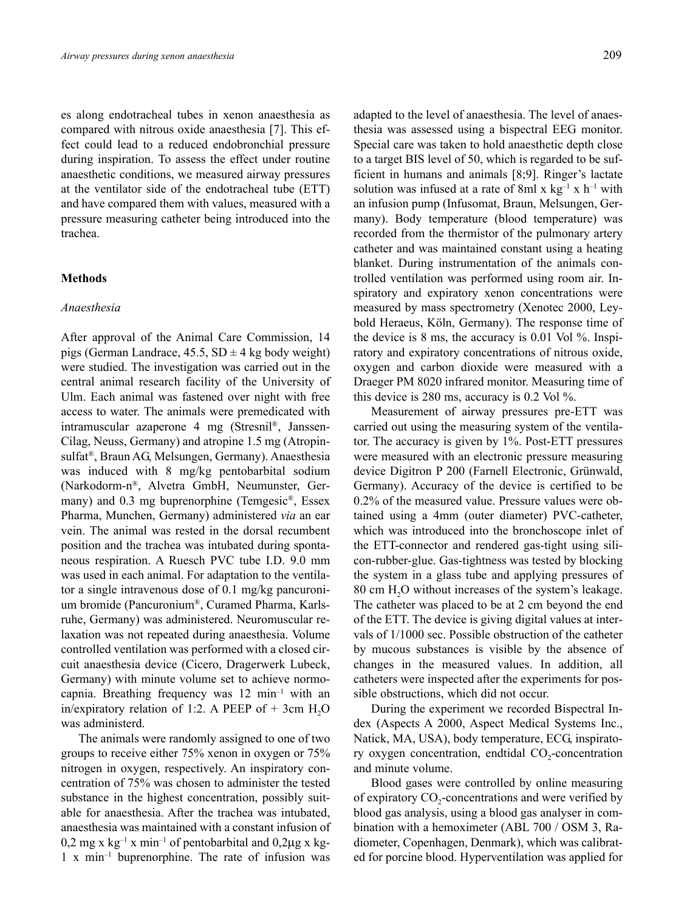es along endotracheal tubes in xenon anaesthesia as compared with nitrous oxide anaesthesia [7]. This effect could lead to a reduced endobronchial pressure during inspiration. To assess the effect under routine anaesthetic conditions, we measured airway pressures at the ventilator side of the endotracheal tube (ETT) and have compared them with values, measured with a pressure measuring catheter being introduced into the trachea.

## **Methods**

#### *Anaesthesia*

After approval of the Animal Care Commission, 14 pigs (German Landrace,  $45.5$ ,  $SD \pm 4$  kg body weight) were studied. The investigation was carried out in the central animal research facility of the University of Ulm. Each animal was fastened over night with free access to water. The animals were premedicated with intramuscular azaperone 4 mg (Stresnil®, Janssen-Cilag, Neuss, Germany) and atropine 1.5 mg (Atropinsulfat®, Braun AG, Melsungen, Germany). Anaesthesia was induced with 8 mg/kg pentobarbital sodium (Narkodorm-n®, Alvetra GmbH, Neumunster, Germany) and 0.3 mg buprenorphine (Temgesic®, Essex Pharma, Munchen, Germany) administered *via* an ear vein. The animal was rested in the dorsal recumbent position and the trachea was intubated during spontaneous respiration. A Ruesch PVC tube I.D. 9.0 mm was used in each animal. For adaptation to the ventilator a single intravenous dose of 0.1 mg/kg pancuronium bromide (Pancuronium®, Curamed Pharma, Karlsruhe, Germany) was administered. Neuromuscular relaxation was not repeated during anaesthesia. Volume controlled ventilation was performed with a closed circuit anaesthesia device (Cicero, Dragerwerk Lubeck, Germany) with minute volume set to achieve normocapnia. Breathing frequency was 12 min–1 with an in/expiratory relation of 1:2. A PEEP of  $+$  3cm H<sub>2</sub>O was administerd.

The animals were randomly assigned to one of two groups to receive either 75% xenon in oxygen or 75% nitrogen in oxygen, respectively. An inspiratory concentration of 75% was chosen to administer the tested substance in the highest concentration, possibly suitable for anaesthesia. After the trachea was intubated, anaesthesia was maintained with a constant infusion of  $0.2$  mg x kg<sup>-1</sup> x min<sup>-1</sup> of pentobarbital and  $0.2\mu$ g x kg-1 x min–1 buprenorphine. The rate of infusion was

adapted to the level of anaesthesia. The level of anaesthesia was assessed using a bispectral EEG monitor. Special care was taken to hold anaesthetic depth close to a target BIS level of 50, which is regarded to be sufficient in humans and animals [8;9]. Ringer's lactate solution was infused at a rate of 8ml x  $kg^{-1}$  x h<sup>-1</sup> with an infusion pump (Infusomat, Braun, Melsungen, Germany). Body temperature (blood temperature) was recorded from the thermistor of the pulmonary artery catheter and was maintained constant using a heating blanket. During instrumentation of the animals controlled ventilation was performed using room air. Inspiratory and expiratory xenon concentrations were measured by mass spectrometry (Xenotec 2000, Leybold Heraeus, Köln, Germany). The response time of the device is 8 ms, the accuracy is 0.01 Vol %. Inspiratory and expiratory concentrations of nitrous oxide, oxygen and carbon dioxide were measured with a Draeger PM 8020 infrared monitor. Measuring time of this device is 280 ms, accuracy is 0.2 Vol %.

Measurement of airway pressures pre-ETT was carried out using the measuring system of the ventilator. The accuracy is given by 1%. Post-ETT pressures were measured with an electronic pressure measuring device Digitron P 200 (Farnell Electronic, Grünwald, Germany). Accuracy of the device is certified to be 0.2% of the measured value. Pressure values were obtained using a 4mm (outer diameter) PVC-catheter, which was introduced into the bronchoscope inlet of the ETT-connector and rendered gas-tight using silicon-rubber-glue. Gas-tightness was tested by blocking the system in a glass tube and applying pressures of 80 cm H<sub>2</sub>O without increases of the system's leakage. The catheter was placed to be at 2 cm beyond the end of the ETT. The device is giving digital values at intervals of 1/1000 sec. Possible obstruction of the catheter by mucous substances is visible by the absence of changes in the measured values. In addition, all catheters were inspected after the experiments for possible obstructions, which did not occur.

During the experiment we recorded Bispectral Index (Aspects A 2000, Aspect Medical Systems Inc., Natick, MA, USA), body temperature, ECG, inspiratory oxygen concentration, endtidal  $CO<sub>2</sub>$ -concentration and minute volume.

Blood gases were controlled by online measuring of expiratory  $CO<sub>2</sub>$ -concentrations and were verified by blood gas analysis, using a blood gas analyser in combination with a hemoximeter (ABL 700 / OSM 3, Radiometer, Copenhagen, Denmark), which was calibrated for porcine blood. Hyperventilation was applied for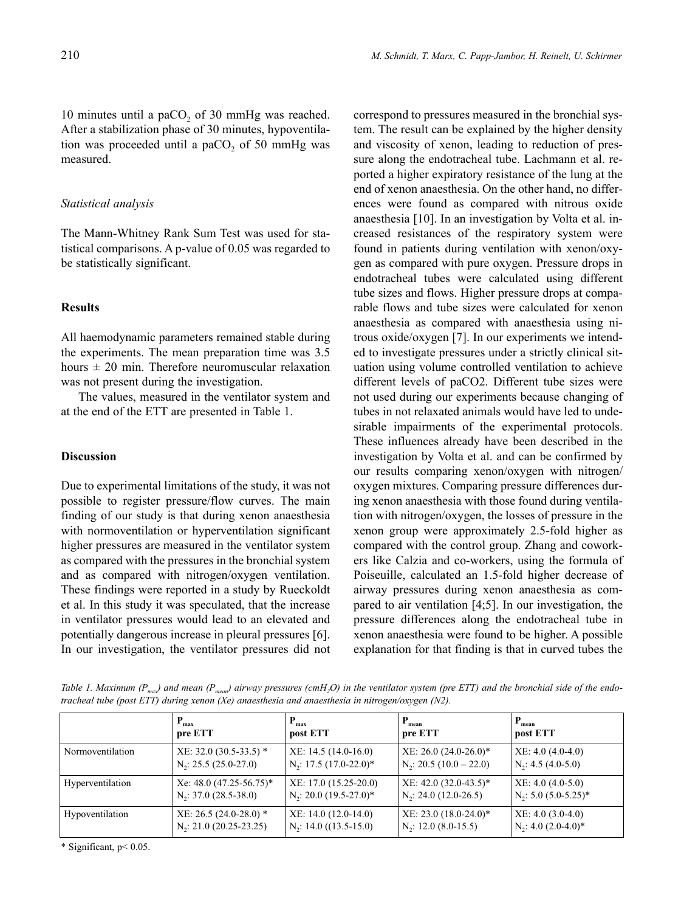10 minutes until a paCO<sub>2</sub> of 30 mmHg was reached. After a stabilization phase of 30 minutes, hypoventilation was proceeded until a paCO<sub>2</sub> of 50 mmHg was measured.

## *Statistical analysis*

The Mann-Whitney Rank Sum Test was used for statistical comparisons. A p-value of 0.05 was regarded to be statistically significant.

# **Results**

All haemodynamic parameters remained stable during the experiments. The mean preparation time was 3.5 hours  $\pm$  20 min. Therefore neuromuscular relaxation was not present during the investigation.

The values, measured in the ventilator system and at the end of the ETT are presented in Table 1.

#### **Discussion**

Due to experimental limitations of the study, it was not possible to register pressure/flow curves. The main finding of our study is that during xenon anaesthesia with normoventilation or hyperventilation significant higher pressures are measured in the ventilator system as compared with the pressures in the bronchial system and as compared with nitrogen/oxygen ventilation. These findings were reported in a study by Rueckoldt et al. In this study it was speculated, that the increase in ventilator pressures would lead to an elevated and potentially dangerous increase in pleural pressures [6]. In our investigation, the ventilator pressures did not correspond to pressures measured in the bronchial system. The result can be explained by the higher density and viscosity of xenon, leading to reduction of pressure along the endotracheal tube. Lachmann et al. reported a higher expiratory resistance of the lung at the end of xenon anaesthesia. On the other hand, no differences were found as compared with nitrous oxide anaesthesia [10]. In an investigation by Volta et al. increased resistances of the respiratory system were found in patients during ventilation with xenon/oxygen as compared with pure oxygen. Pressure drops in endotracheal tubes were calculated using different tube sizes and flows. Higher pressure drops at comparable flows and tube sizes were calculated for xenon anaesthesia as compared with anaesthesia using nitrous oxide/oxygen [7]. In our experiments we intended to investigate pressures under a strictly clinical situation using volume controlled ventilation to achieve different levels of paCO2. Different tube sizes were not used during our experiments because changing of tubes in not relaxated animals would have led to undesirable impairments of the experimental protocols. These influences already have been described in the investigation by Volta et al. and can be confirmed by our results comparing xenon/oxygen with nitrogen/ oxygen mixtures. Comparing pressure differences during xenon anaesthesia with those found during ventilation with nitrogen/oxygen, the losses of pressure in the xenon group were approximately 2.5-fold higher as compared with the control group. Zhang and coworkers like Calzia and co-workers, using the formula of Poiseuille, calculated an 1.5-fold higher decrease of airway pressures during xenon anaesthesia as compared to air ventilation [4;5]. In our investigation, the pressure differences along the endotracheal tube in xenon anaesthesia were found to be higher. A possible explanation for that finding is that in curved tubes the

*Table 1. Maximum* ( $P_{max}$ ) and mean ( $P_{mean}$ ) airway pressures (cmH<sub>2</sub>O) in the ventilator system (pre ETT) and the bronchial side of the endo*tracheal tube (post ETT) during xenon (Xe) anaesthesia and anaesthesia in nitrogen/oxygen (N2).*

|                  | $P_{max}$                    | $P_{max}$                 | $P_{mean}$                 | $P_{mean}$             |
|------------------|------------------------------|---------------------------|----------------------------|------------------------|
|                  | pre ETT                      | post ETT                  | pre ETT                    | post ETT               |
| Normoventilation | $XE: 32.0 (30.5-33.5)$ *     | $XE: 14.5(14.0-16.0)$     | $XE: 26.0 (24.0-26.0)^*$   | $XE: 4.0 (4.0-4.0)$    |
|                  | $N_2$ : 25.5 (25.0-27.0)     | $N_2$ : 17.5 (17.0-22.0)* | $N_2$ : 20.5 (10.0 – 22.0) | $N2: 4.5 (4.0-5.0)$    |
| Hyperventilation | Xe: $48.0 (47.25 - 56.75)^*$ | XE: 17.0 (15.25-20.0)     | $XE: 42.0 (32.0-43.5)^*$   | $XE: 4.0 (4.0-5.0)$    |
|                  | $N2: 37.0 (28.5-38.0)$       | $N_2$ : 20.0 (19.5-27.0)* | $N2: 24.0 (12.0-26.5)$     | $N2: 5.0 (5.0-5.25)^*$ |
| Hypoventilation  | $XE: 26.5 (24.0-28.0)$ *     | $XE: 14.0 (12.0-14.0)$    | $XE: 23.0 (18.0-24.0)^*$   | $XE: 4.0 (3.0-4.0)$    |
|                  | $N_2$ : 21.0 (20.25-23.25)   | $N2: 14.0 ((13.5-15.0)$   | $N2: 12.0 (8.0-15.5)$      | $N_2$ : 4.0 (2.0-4.0)* |

\* Significant, p< 0.05.